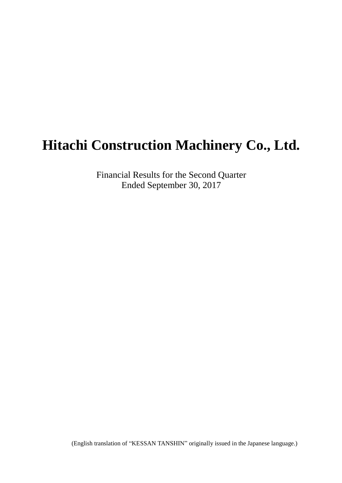# **Hitachi Construction Machinery Co., Ltd.**

Financial Results for the Second Quarter Ended September 30, 2017

(English translation of "KESSAN TANSHIN" originally issued in the Japanese language.)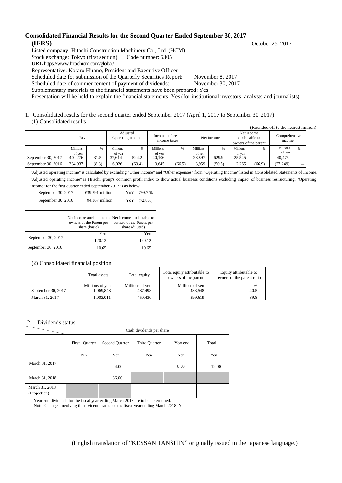#### **Consolidated Financial Results for the Second Quarter Ended September 30, 2017 (IFRS)** October 25, 2017

Listed company: Hitachi Construction Machinery Co., Ltd. (HCM)

Stock exchange: Tokyo (first section) Code number: 6305

URL https://www.hitachicm.com/global/

Representative: Kotaro Hirano, President and Executive Officer

Scheduled date for submission of the Quarterly Securities Report: November 8, 2017

Scheduled date of commencement of payment of dividends: November 30, 2017

Supplementary materials to the financial statements have been prepared: Yes

Presentation will be held to explain the financial statements: Yes (for institutional investors, analysts and journalists)

1. Consolidated results for the second quarter ended September 2017 (April 1, 2017 to September 30, 2017) (1) Consolidated results

|                    | Revenue         |       | Adjusted<br>Income before<br>Operating income<br>income taxes |        | Net income      |        | Net income<br>attributable to<br>owners of the parent |        | Comprehensive<br>income |        |                 |                          |
|--------------------|-----------------|-------|---------------------------------------------------------------|--------|-----------------|--------|-------------------------------------------------------|--------|-------------------------|--------|-----------------|--------------------------|
|                    | <b>Millions</b> | %     | <b>Millions</b>                                               | %      | <b>Millions</b> |        | <b>Millions</b>                                       |        | Millions                | %      | <b>Millions</b> | $\%$                     |
|                    | of yen          |       | of ven                                                        |        | of yen          |        | of yen                                                |        | of yen                  |        | of ven          |                          |
| September 30, 2017 | 440,276         | 31.5  | 37.614                                                        | 524.2  | 40.106          |        | 28,897                                                | 629.9  | 25.545                  | -      | 40.475          |                          |
| September 30, 2016 | 334,937         | (8.3) | 6.026                                                         | (63.4) | 3.645           | (66.5) | 3,959                                                 | (50.5) | 2,265                   | (66.9) | (27, 249)       | $\overline{\phantom{a}}$ |

"Adjusted operating income" is calculated by excluding "Other income" and "Other expenses" from "Operating Income" listed in Consolidated Statements of Income. "Adjusted operating income" is Hitachi group's common profit index to show actual business conditions excluding impact of business restructuring. "Operating income" for the first quarter ended September 2017 is as below.

| September 30, 2017 | $439.291$ million | YoY | 799.7 %     |
|--------------------|-------------------|-----|-------------|
| September 30, 2016 | $44,367$ million  |     | YoY (72.8%) |

|                    | owners of the Parent per<br>share (basic) | Net income attributable to Net income attributable to<br>owners of the Parent per<br>share (diluted) |
|--------------------|-------------------------------------------|------------------------------------------------------------------------------------------------------|
|                    | Yen                                       | Yen                                                                                                  |
| September 30, 2017 | 120.12                                    | 120.12                                                                                               |
| September 30, 2016 | 10.65                                     | 10.65                                                                                                |

#### (2) Consolidated financial position

|                    | Total assets    | Total equity    | Total equity attributable to<br>owners of the parent | Equity attributable to<br>owners of the parent ratio |  |
|--------------------|-----------------|-----------------|------------------------------------------------------|------------------------------------------------------|--|
|                    | Millions of yen | Millions of yen | Millions of yen                                      | %                                                    |  |
| September 30, 2017 | 1,069,848       | 487.498         | 433.548                                              | 40.5                                                 |  |
| March 31, 2017     | 1.003.011       | 450,430         | 399.619                                              | 39.8                                                 |  |

#### 2. Dividends status

|                                | Cash dividends per share |                |               |          |       |  |  |  |  |  |
|--------------------------------|--------------------------|----------------|---------------|----------|-------|--|--|--|--|--|
|                                | Quarter<br>First         | Second Quarter | Third Quarter | Year end | Total |  |  |  |  |  |
|                                | Yen                      | Yen            | Yen           | Yen      | Yen   |  |  |  |  |  |
| March 31, 2017                 |                          | 4.00           |               | 8.00     | 12.00 |  |  |  |  |  |
| March 31, 2018                 |                          | 36.00          |               |          |       |  |  |  |  |  |
| March 31, 2018<br>(Projection) |                          |                |               |          |       |  |  |  |  |  |

Year end dividends for the fiscal year ending March 2018 are to be determined. Note: Changes involving the dividend states for the fiscal year ending March 2018: Yes

(English translation of "KESSAN TANSHIN" originally issued in the Japanese language.)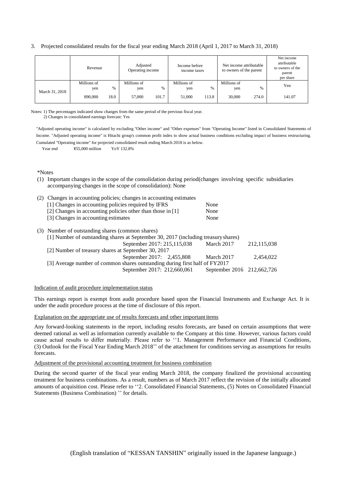#### 3. Projected consolidated results for the fiscal year ending March 2018 (April 1, 2017 to March 31, 2018)

|                |         | Revenue            |        |                    | Adjusted<br>Operating income |                    | Income before<br>income taxes |                    | Net income attributable<br>to owners of the parent | Net income<br>attributable<br>to owners of the<br>parent<br>per share |
|----------------|---------|--------------------|--------|--------------------|------------------------------|--------------------|-------------------------------|--------------------|----------------------------------------------------|-----------------------------------------------------------------------|
|                |         | Millions of<br>yen | $\%$   | Millions of<br>yen | %                            | Millions of<br>yen | $\frac{0}{6}$                 | Millions of<br>yen | %                                                  | Yen                                                                   |
| March 31, 2018 | 890,000 | 18.0               | 57,000 | 101.7              | 51,000                       | 113.8              | 30,000                        | 274.0              | 141.07                                             |                                                                       |

Notes: 1) The percentages indicated show changes from the same period of the previous fiscal year. 2) Changes in consolidated earnings forecast: Yes

"Adjusted operating income" is calculated by excluding "Other income" and "Other expenses" from "Operating Income" listed in Consolidated Statements of Income. "Adjusted operating income" is Hitachi group's common profit index to show actual business conditions excluding impact of business restructuring. Cumulated "Operating income" for projected consolidated result ending March 2018 is as below.

Year end  $\text{\$55,000}$  million YoY 132.8%

#### \*Notes

(1) Important changes in the scope of the consolidation during period(changes involving specific subsidiaries accompanying changes in the scope of consolidation): None

| (2) | Changes in accounting policies; changes in accounting estimates                    |                            |             |
|-----|------------------------------------------------------------------------------------|----------------------------|-------------|
|     | [1] Changes in accounting policies required by IFRS                                | None                       |             |
|     | [2] Changes in accounting policies other than those in [1]                         | None                       |             |
|     | [3] Changes in accounting estimates                                                | None                       |             |
|     | (3) Number of outstanding shares (common shares)                                   |                            |             |
|     | [1] Number of outstanding shares at September 30, 2017 (including treasury shares) |                            |             |
|     | September 2017: 215,115,038                                                        | March 2017                 | 212,115,038 |
|     | [2] Number of treasury shares at September 30, 2017                                |                            |             |
|     | September 2017: 2,455,808                                                          | March 2017                 | 2.454,022   |
|     | [3] Average number of common shares outstanding during first half of FY2017        |                            |             |
|     | September 2017: 212,660,061                                                        | September 2016 212,662,726 |             |

#### Indication of audit procedure implementation status

This earnings report is exempt from audit procedure based upon the Financial Instruments and Exchange Act. It is under the audit procedure process at the time of disclosure of this report.

#### Explanation on the appropriate use of results forecasts and other important items

Any forward-looking statements in the report, including results forecasts, are based on certain assumptions that were deemed rational as well as information currently available to the Company at this time. However, various factors could cause actual results to differ materially. Please refer to ''1. Management Performance and Financial Conditions, (3) Outlook for the Fiscal Year Ending March 2018'' of the attachment for conditions serving as assumptions for results forecasts.

#### Adjustment of the provisional accounting treatment for business combination

During the second quarter of the fiscal year ending March 2018, the company finalized the provisional accounting treatment for business combinations. As a result, numbers as of March 2017 reflect the revision of the initially allocated amounts of acquisition cost. Please refer to ''2. Consolidated Financial Statements, (5) Notes on Consolidated Financial Statements (Business Combination) '' for details.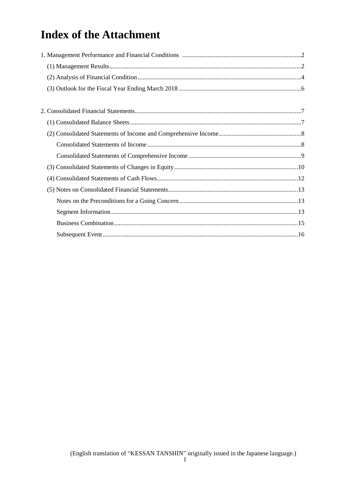# **Index of the Attachment**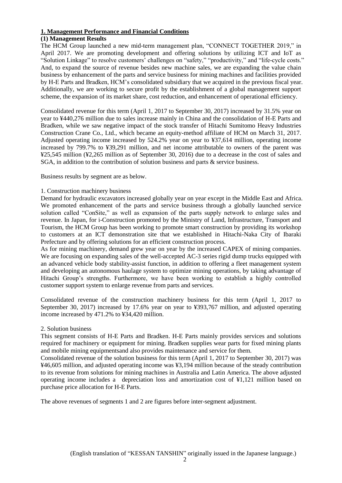#### **1. Management Performance and Financial Conditions**

#### **(1) Management Results**

The HCM Group launched a new mid-term management plan, "CONNECT TOGETHER 2019," in April 2017. We are promoting development and offering solutions by utilizing ICT and IoT as "Solution Linkage" to resolve customers' challenges on "safety," "productivity," and "life-cycle costs." And, to expand the source of revenue besides new machine sales, we are expanding the value chain business by enhancement of the parts and service business for mining machines and facilities provided by H-E Parts and Bradken, HCM's consolidated subsidiary that we acquired in the previous fiscal year. Additionally, we are working to secure profit by the establishment of a global management support scheme, the expansion of its market share, cost reduction, and enhancement of operational efficiency.

Consolidated revenue for this term (April 1, 2017 to September 30, 2017) increased by 31.5% year on year to ¥440,276 million due to sales increase mainly in China and the consolidation of H-E Parts and Bradken, while we saw negative impact of the stock transfer of Hitachi Sumitomo Heavy Industries Construction Crane Co., Ltd., which became an equity-method affiliate of HCM on March 31, 2017. Adjusted operating income increased by 524.2% year on year to ¥37,614 million, operating income increased by 799.7% to ¥39,291 million, and net income attributable to owners of the parent was ¥25,545 million (¥2,265 million as of September 30, 2016) due to a decrease in the cost of sales and SGA, in addition to the contribution of solution business and parts & service business.

Business results by segment are as below.

#### 1. Construction machinery business

Demand for hydraulic excavators increased globally year on year except in the Middle East and Africa. We promoted enhancement of the parts and service business through a globally launched service solution called "ConSite," as well as expansion of the parts supply network to enlarge sales and revenue. In Japan, for i-Construction promoted by the Ministry of Land, Infrastructure, Transport and Tourism, the HCM Group has been working to promote smart construction by providing its workshop to customers at an ICT demonstration site that we established in Hitachi-Naka City of Ibaraki Prefecture and by offering solutions for an efficient construction process.

As for mining machinery, demand grew year on year by the increased CAPEX of mining companies. We are focusing on expanding sales of the well-accepted AC-3 series rigid dump trucks equipped with an advanced vehicle body stability-assist function, in addition to offering a fleet management system and developing an autonomous haulage system to optimize mining operations, by taking advantage of Hitachi Group's strengths. Furthermore, we have been working to establish a highly controlled customer support system to enlarge revenue from parts and services.

Consolidated revenue of the construction machinery business for this term (April 1, 2017 to September 30, 2017) increased by 17.6% year on year to ¥393,767 million, and adjusted operating income increased by 471.2% to ¥34,420 million.

#### 2. Solution business

This segment consists of H-E Parts and Bradken. H-E Parts mainly provides services and solutions required for machinery or equipment for mining. Bradken supplies wear parts for fixed mining plants and mobile mining equipmentsand also provides maintenance and service for them.

Consolidated revenue of the solution business for this term (April 1, 2017 to September 30, 2017) was ¥46,605 million, and adjusted operating income was ¥3,194 million because of the steady contribution to its revenue from solutions for mining machines in Australia and Latin America. The above adjusted operating income includes a depreciation loss and amortization cost of ¥1,121 million based on purchase price allocation for H-E Parts.

The above revenues of segments 1 and 2 are figures before inter-segment adjustment.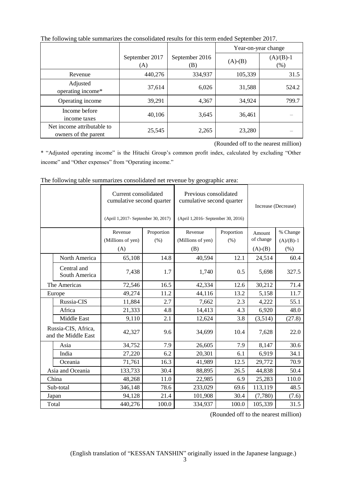|                                                    |                       |                       | Year-on-year change |                     |
|----------------------------------------------------|-----------------------|-----------------------|---------------------|---------------------|
|                                                    | September 2017<br>(A) | September 2016<br>(B) | $(A)-(B)$           | $(A)/(B)-1$<br>(% ) |
| Revenue                                            | 440,276               | 334,937               | 105,339             | 31.5                |
| Adjusted<br>operating income*                      | 37,614                | 6,026                 | 31,588              | 524.2               |
| Operating income                                   | 39,291                | 4,367                 | 34,924              | 799.7               |
| Income before<br>income taxes                      | 40,106                | 3,645                 | 36,461              |                     |
| Net income attributable to<br>owners of the parent | 25,545                | 2,265                 | 23,280              |                     |

The following table summarizes the consolidated results for this term ended September 2017.

(Rounded off to the nearest million)

\* "Adjusted operating income" is the Hitachi Group's common profit index, calculated by excluding "Other income" and "Other expenses" from "Operating income."

|  |                                            | Current consolidated<br>cumulative second quarter |            | Previous consolidated<br>cumulative second quarter |            | Increase (Decrease) |             |  |
|--|--------------------------------------------|---------------------------------------------------|------------|----------------------------------------------------|------------|---------------------|-------------|--|
|  |                                            | (April 1,2017- September 30, 2017)                |            | (April 1,2016- September 30, 2016)                 |            |                     |             |  |
|  |                                            | Revenue                                           | Proportion | Revenue                                            | Proportion | Amount              | % Change    |  |
|  |                                            | (Millions of yen)                                 | (% )       | (Millions of yen)                                  | $(\% )$    | of change           | $(A)/(B)-1$ |  |
|  |                                            | (A)                                               |            | (B)                                                |            | $(A)-(B)$           | (% )        |  |
|  | North America                              | 65,108                                            | 14.8       | 40,594                                             | 12.1       | 24,514              | 60.4        |  |
|  | Central and<br>South America               | 7,438                                             | 1.7        | 1,740                                              | 0.5        | 5,698               | 327.5       |  |
|  | The Americas                               | 72,546                                            | 16.5       | 42,334                                             | 12.6       | 30,212              | 71.4        |  |
|  | Europe                                     | 49,274                                            | 11.2       | 44,116                                             | 13.2       | 5,158               | 11.7        |  |
|  | Russia-CIS                                 | 11,884                                            | 2.7        | 7,662                                              | 2.3        | 4,222               | 55.1        |  |
|  | Africa                                     | 21,333                                            | 4.8        | 14,413                                             | 4.3        | 6,920               | 48.0        |  |
|  | Middle East                                | 9,110                                             | 2.1        | 12,624                                             | 3.8        | (3,514)             | (27.8)      |  |
|  | Russia-CIS, Africa,<br>and the Middle East | 42,327                                            | 9.6        | 34,699                                             | 10.4       | 7,628               | 22.0        |  |
|  | Asia                                       | 34,752                                            | 7.9        | 26,605                                             | 7.9        | 8,147               | 30.6        |  |
|  | India                                      | 27,220                                            | 6.2        | 20,301                                             | 6.1        | 6,919               | 34.1        |  |
|  | Oceania                                    | 71,761                                            | 16.3       | 41,989                                             | 12.5       | 29,772              | 70.9        |  |
|  | Asia and Oceania                           | 133,733                                           | 30.4       | 88,895                                             | 26.5       | 44,838              | 50.4        |  |
|  | China                                      | 48,268                                            | 11.0       | 22,985                                             | 6.9        | 25,283              | 110.0       |  |
|  | Sub-total                                  | 346,148                                           | 78.6       | 233,029                                            | 69.6       | 113,119             | 48.5        |  |
|  | Japan                                      | 94,128                                            | 21.4       | 101,908                                            | 30.4       | (7,780)             | (7.6)       |  |
|  | Total                                      | 440,276                                           | 100.0      | 334,937                                            | 100.0      | 105,339             | 31.5        |  |

The following table summarizes consolidated net revenue by geographic area: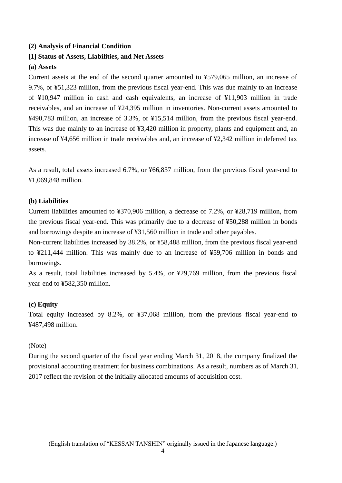## **(2) Analysis of Financial Condition**

## **[1] Status of Assets, Liabilities, and Net Assets**

### **(a) Assets**

Current assets at the end of the second quarter amounted to ¥579,065 million, an increase of 9.7%, or ¥51,323 million, from the previous fiscal year-end. This was due mainly to an increase of ¥10,947 million in cash and cash equivalents, an increase of ¥11,903 million in trade receivables, and an increase of ¥24,395 million in inventories. Non-current assets amounted to ¥490,783 million, an increase of 3.3%, or ¥15,514 million, from the previous fiscal year-end. This was due mainly to an increase of ¥3,420 million in property, plants and equipment and, an increase of ¥4,656 million in trade receivables and, an increase of ¥2,342 million in deferred tax assets.

As a result, total assets increased 6.7%, or ¥66,837 million, from the previous fiscal year-end to ¥1,069,848 million.

### **(b) Liabilities**

Current liabilities amounted to ¥370,906 million, a decrease of 7.2%, or ¥28,719 million, from the previous fiscal year-end. This was primarily due to a decrease of ¥50,288 million in bonds and borrowings despite an increase of ¥31,560 million in trade and other payables.

Non-current liabilities increased by 38.2%, or ¥58,488 million, from the previous fiscal year-end to ¥211,444 million. This was mainly due to an increase of ¥59,706 million in bonds and borrowings.

As a result, total liabilities increased by 5.4%, or ¥29,769 million, from the previous fiscal year-end to ¥582,350 million.

### **(c) Equity**

Total equity increased by 8.2%, or ¥37,068 million, from the previous fiscal year-end to ¥487,498 million.

### (Note)

During the second quarter of the fiscal year ending March 31, 2018, the company finalized the provisional accounting treatment for business combinations. As a result, numbers as of March 31, 2017 reflect the revision of the initially allocated amounts of acquisition cost.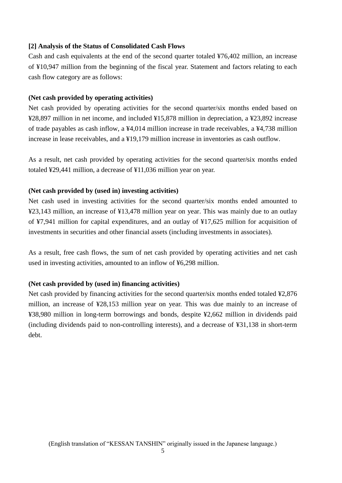### **[2] Analysis of the Status of Consolidated Cash Flows**

Cash and cash equivalents at the end of the second quarter totaled ¥76,402 million, an increase of ¥10,947 million from the beginning of the fiscal year. Statement and factors relating to each cash flow category are as follows:

### **(Net cash provided by operating activities)**

Net cash provided by operating activities for the second quarter/six months ended based on ¥28,897 million in net income, and included ¥15,878 million in depreciation, a ¥23,892 increase of trade payables as cash inflow, a ¥4,014 million increase in trade receivables, a ¥4,738 million increase in lease receivables, and a ¥19,179 million increase in inventories as cash outflow.

As a result, net cash provided by operating activities for the second quarter/six months ended totaled ¥29,441 million, a decrease of ¥11,036 million year on year.

## **(Net cash provided by (used in) investing activities)**

Net cash used in investing activities for the second quarter/six months ended amounted to ¥23,143 million, an increase of ¥13,478 million year on year. This was mainly due to an outlay of ¥7,941 million for capital expenditures, and an outlay of ¥17,625 million for acquisition of investments in securities and other financial assets (including investments in associates).

As a result, free cash flows, the sum of net cash provided by operating activities and net cash used in investing activities, amounted to an inflow of ¥6,298 million.

## **(Net cash provided by (used in) financing activities)**

Net cash provided by financing activities for the second quarter/six months ended totaled ¥2,876 million, an increase of ¥28,153 million year on year. This was due mainly to an increase of ¥38,980 million in long-term borrowings and bonds, despite ¥2,662 million in dividends paid (including dividends paid to non-controlling interests), and a decrease of ¥31,138 in short-term debt.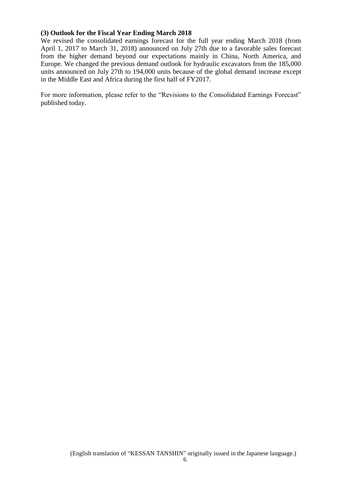## **(3) Outlook for the Fiscal Year Ending March 2018**

We revised the consolidated earnings forecast for the full year ending March 2018 (from April 1, 2017 to March 31, 2018) announced on July 27th due to a favorable sales forecast from the higher demand beyond our expectations mainly in China, North America, and Europe. We changed the previous demand outlook for hydraulic excavators from the 185,000 units announced on July 27th to 194,000 units because of the global demand increase except in the Middle East and Africa during the first half of FY2017.

For more information, please refer to the "Revisions to the Consolidated Earnings Forecast" published today.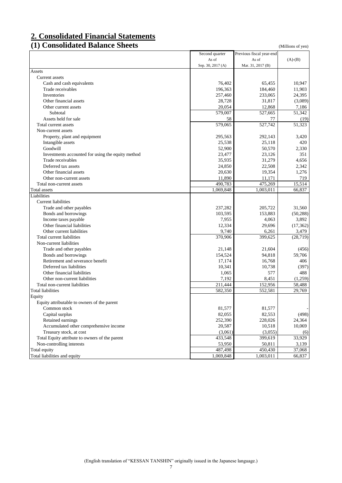# **2. Consolidated Financial Statements**

# **(1) Consolidated Balance Sheets** (Millions of yen)

|                                                   | Second quarter    | Previous fiscal year-end |           |
|---------------------------------------------------|-------------------|--------------------------|-----------|
|                                                   | As of             | As of                    | $(A)-(B)$ |
|                                                   | Sep. 30, 2017 (A) | Mar. 31, 2017 (B)        |           |
| Assets                                            |                   |                          |           |
| Current assets                                    |                   |                          |           |
| Cash and cash equivalents                         | 76,402            | 65,455                   | 10,947    |
| Trade receivables                                 | 196,363           | 184,460                  | 11,903    |
| Inventories                                       | 257,460           | 233,065                  | 24,395    |
| Other financial assets                            | 28,728            | 31,817                   | (3,089)   |
| Other current assets                              | 20,054            | 12,868                   | 7,186     |
| Subtotal                                          | 579,007           | 527,665                  | 51,342    |
| Assets held for sale                              | 58                | 77                       | (19)      |
| Total current assets                              | 579,065           | 527,742                  | 51,323    |
| Non-current assets                                |                   |                          |           |
| Property, plant and equipment                     | 295,563           | 292,143                  | 3,420     |
| Intangible assets                                 | 25,538            | 25,118                   | 420       |
| Goodwill                                          | 52,900            | 50,570                   | 2,330     |
| Investments accounted for using the equity method | 23,477            | 23,126                   | 351       |
| Trade receivables                                 | 35,935            | 31,279                   | 4,656     |
| Deferred tax assets                               | 24,850            | 22,508                   | 2,342     |
| Other financial assets                            | 20,630            | 19,354                   | 1,276     |
| Other non-current assets                          | 11,890            | 11,171                   | 719       |
| Total non-current assets                          | 490,783           | 475,269                  | 15,514    |
| <b>Total</b> assets                               | 1,069,848         | 1,003,011                | 66,837    |
| Liabilities                                       |                   |                          |           |
| Current liabilities                               |                   |                          |           |
| Trade and other payables                          | 237,282           | 205,722                  | 31,560    |
| Bonds and borrowings                              | 103,595           | 153,883                  | (50, 288) |
|                                                   | 7,955             | 4,063                    | 3,892     |
| Income taxes payable                              |                   |                          |           |
| Other financial liabilities                       | 12,334            | 29,696                   | (17, 362) |
| Other current liabilities                         | 9,740             | 6,261                    | 3,479     |
| Total current liabilities                         | 370,906           | 399,625                  | (28, 719) |
| Non-current liabilities                           |                   |                          |           |
| Trade and other payables                          | 21,148            | 21,604                   | (456)     |
| Bonds and borrowings                              | 154,524           | 94,818                   | 59,706    |
| Retirement and severance benefit                  | 17,174            | 16,768                   | 406       |
| Deferred tax liabilities                          | 10,341            | 10,738                   | (397)     |
| Other financial liabilities                       | 1,065             | 577                      | 488       |
| Other non-current liabilities                     | 7,192             | 8,451                    | (1,259)   |
| Total non-current liabilities                     | 211.444           | 152,956                  | 58,488    |
| <b>Total liabilities</b>                          | 582,350           | 552,581                  | 29,769    |
| Equity                                            |                   |                          |           |
| Equity attributable to owners of the parent       |                   |                          |           |
| Common stock                                      | 81,577            | 81,577                   |           |
| Capital surplus                                   | 82,055            | 82,553                   | (498)     |
| Retained earnings                                 | 252,390           | 228,026                  | 24,364    |
| Accumulated other comprehensive income            | 20,587            | 10,518                   | 10,069    |
| Treasury stock, at cost                           | (3,061)           | (3,055)                  | (6)       |
| Total Equity attribute to owners of the parent    | 433,548           | 399,619                  | 33,929    |
| Non-controlling interests                         | 53,950            | 50,811                   | 3,139     |
| Total equity                                      | 487,498           | 450,430                  | 37,068    |
| Total liabilities and equity                      | 1,069,848         | 1,003,011                | 66,837    |
|                                                   |                   |                          |           |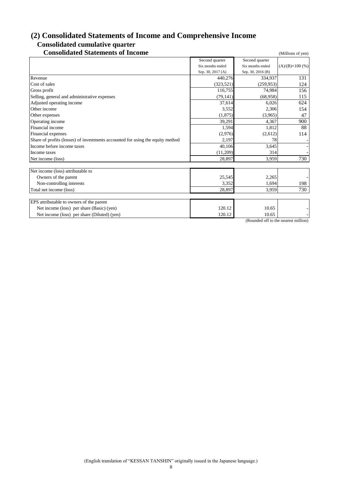# **(2) Consolidated Statements of Income and Comprehensive Income Consolidated cumulative quarter**

# **Consolidated Statements of Income** (Millions of yen)

|                                                                                | Second quarter    | Second quarter    |                         |
|--------------------------------------------------------------------------------|-------------------|-------------------|-------------------------|
|                                                                                | Six months ended  | Six months ended  | $(A)/(B)\times 100$ (%) |
|                                                                                | Sep. 30, 2017 (A) | Sep. 30, 2016 (B) |                         |
| Revenue                                                                        | 440,276           | 334,937           | 131                     |
| Cost of sales                                                                  | (323, 521)        | (259, 953)        | 124                     |
| Gross profit                                                                   | 116,755           | 74,984            | 156                     |
| Selling, general and administrative expenses                                   | (79, 141)         | (68,958)          | 115                     |
| Adjusted operating income                                                      | 37,614            | 6,026             | 624                     |
| Other income                                                                   | 3,552             | 2,306             | 154                     |
| Other expenses                                                                 | (1,875)           | (3,965)           | 47                      |
| Operating income                                                               | 39,291            | 4,367             | 900                     |
| Financial income                                                               | 1,594             | 1,812             | 88                      |
| Financial expenses                                                             | (2,976)           | (2,612)           | 114                     |
| Share of profits (losses) of investments accounted for using the equity method | 2,197             | 78                |                         |
| Income before income taxes                                                     | 40,106            | 3,645             |                         |
| Income taxes                                                                   | (11,209)          | 314               |                         |
| Net income (loss)                                                              | 28,897            | 3,959             | 730                     |
| Net income (loss) attributable to                                              |                   |                   |                         |
| Owners of the parent                                                           | 25,545            | 2,265             |                         |
| Non-controlling interests                                                      | 3,352             | 1,694             | 198                     |
| Total net income (loss)                                                        | 28,897            | 3,959             | 730                     |
|                                                                                |                   |                   |                         |
| EPS attributable to owners of the parent                                       |                   |                   |                         |
| Net income (loss) per share (Basic) (yen)                                      | 120.12            | 10.65             |                         |
| Net income (loss) per share (Diluted) (yen)                                    | 120.12            | 10.65             |                         |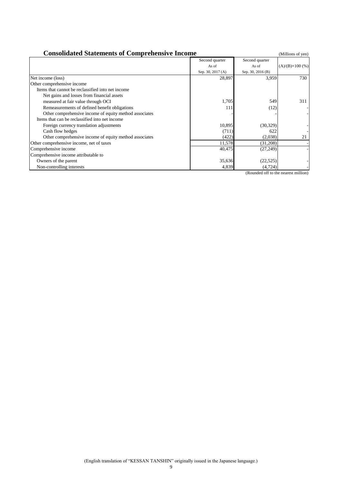| <b>Consolidated Statements of Comprehensive Income</b><br>(Millions of yen) |                   |                   |                         |  |
|-----------------------------------------------------------------------------|-------------------|-------------------|-------------------------|--|
|                                                                             | Second quarter    | Second quarter    |                         |  |
|                                                                             | As of             | As of             | $(A)/(B)\times 100$ (%) |  |
|                                                                             | Sep. 30, 2017 (A) | Sep. 30, 2016 (B) |                         |  |
| Net income (loss)                                                           | 28,897            | 3,959             | 730                     |  |
| Other comprehensive income                                                  |                   |                   |                         |  |
| Items that cannot be reclassified into net income                           |                   |                   |                         |  |
| Net gains and losses from financial assets                                  |                   |                   |                         |  |
| measured at fair value through OCI                                          | 1,705             | 549               | 311                     |  |
| Remeasurements of defined benefit obligations                               | 111               | (12)              |                         |  |
| Other comprehensive income of equity method associates                      |                   |                   |                         |  |
| Items that can be reclassified into net income                              |                   |                   |                         |  |
| Foreign currency translation adjustments                                    | 10,895            | (30, 329)         |                         |  |
| Cash flow hedges                                                            | (711)             | 622               |                         |  |
| Other comprehensive income of equity method associates                      | (422)             | (2,038)           | 21                      |  |
| Other comprehensive income, net of taxes                                    | 11,578            | (31,208)          |                         |  |
| Comprehensive income                                                        | 40,475            | (27, 249)         |                         |  |
| Comprehensive income attributable to                                        |                   |                   |                         |  |
| Owners of the parent                                                        | 35,636            | (22, 525)         |                         |  |
| Non-controlling interests                                                   | 4,839             | (4, 724)          |                         |  |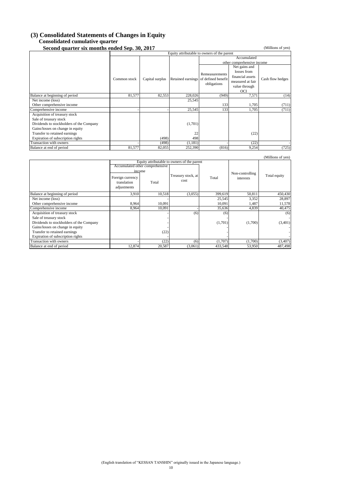#### **(3) Consolidated Statements of Changes in Equity Consolidated cumulative quarter**

**Second quarter six months ended Sep. 30, 2017** (Millions of yen)

| Second quarter six months ended Sep. 30, 2017 |              |                 |                                             |                                                     |                            | (Millions of yen) |
|-----------------------------------------------|--------------|-----------------|---------------------------------------------|-----------------------------------------------------|----------------------------|-------------------|
|                                               |              |                 | Equity attributable to owners of the parent |                                                     |                            |                   |
|                                               |              |                 |                                             |                                                     | Accumulated                |                   |
|                                               |              |                 |                                             |                                                     | other comprehensive income |                   |
|                                               |              |                 |                                             |                                                     | Net gains and              |                   |
|                                               |              |                 |                                             | Remeasurements                                      | losses from                |                   |
|                                               | Common stock | Capital surplus |                                             |                                                     | financial assets           | Cash flow hedges  |
|                                               |              |                 |                                             | Retained earnings of defined benefit<br>obligations | measured at fair           |                   |
|                                               |              |                 |                                             |                                                     | value through              |                   |
|                                               |              |                 |                                             |                                                     | OCI                        |                   |
| Balance at beginning of period                | 81,577       | 82,553          | 228,026                                     | (949)                                               | 7,571                      | (14)              |
| Net income (loss)                             |              |                 | 25,545                                      |                                                     |                            |                   |
| Other comprehensive income                    |              |                 |                                             | 133                                                 | 1.705                      | (711)             |
| Comprehensive income                          |              |                 | 25,545                                      | 133                                                 | 1,705                      | (711)             |
| Acquisition of treasury stock                 |              |                 |                                             |                                                     |                            |                   |
| Sale of treasury stock                        |              |                 |                                             |                                                     |                            |                   |
| Dividends to stockholders of the Company      |              |                 | (1,701)                                     |                                                     |                            |                   |
| Gains/losses on change in equity              |              |                 |                                             |                                                     |                            |                   |
| Transfer to retained earnings                 |              |                 | 22                                          |                                                     | (22)                       |                   |
| Expiration of subscription rights             |              | (498)           | 498                                         |                                                     |                            |                   |
| Transaction with owners                       |              | (498)           | (1,181)                                     |                                                     | (22)                       |                   |
| Balance at end of period                      | 81,577       | 82,055          | 252,390                                     | (816)                                               | 9,254                      | (725)             |

|                                          |                                                          |                                 |                                             |         |                              | (Millions of yen) |
|------------------------------------------|----------------------------------------------------------|---------------------------------|---------------------------------------------|---------|------------------------------|-------------------|
|                                          |                                                          | Accumulated other comprehensive | Equity attributable to owners of the parent |         |                              |                   |
|                                          | income<br>Foreign currency<br>translation<br>adjustments | Total                           | Treasury stock, at<br>cost                  | Total   | Non-controlling<br>interests | Total equity      |
| Balance at beginning of period           | 3,910                                                    | 10,518                          | (3,055)                                     | 399,619 | 50.811                       | 450,430           |
| Net income (loss)                        |                                                          |                                 |                                             | 25,545  | 3,352                        | 28,897            |
| Other comprehensive income               | 8,964                                                    | 10,091                          |                                             | 10,091  | 1,487                        | 11,578            |
| Comprehensive income                     | 8,964                                                    | 10,091                          |                                             | 35,636  | 4,839                        | 40,475            |
| Acquisition of treasury stock            |                                                          |                                 | (6)                                         | (6)     |                              | (6)               |
| Sale of treasury stock                   |                                                          |                                 |                                             |         |                              |                   |
| Dividends to stockholders of the Company |                                                          |                                 |                                             | (1,701) | (1,700)                      | (3,401)           |
| Gains/losses on change in equity         |                                                          |                                 |                                             |         |                              |                   |
| Transfer to retained earnings            |                                                          | (22)                            |                                             |         |                              |                   |
| Expiration of subscription rights        |                                                          |                                 |                                             |         |                              |                   |
| Transaction with owners                  |                                                          | (22)                            | (6)                                         | (1,707) | (1,700)                      | (3,407)           |
| Balance at end of period                 | 12.874                                                   | 20,587                          | (3,061)                                     | 433,548 | 53,950                       | 487,498           |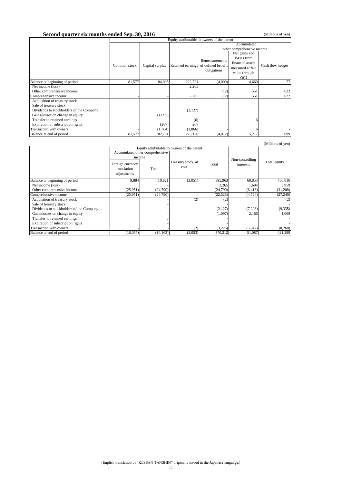#### **Second quarter six months ended Sep. 30, 2016** (Millions of yen)

|                                          |              | Equity attributable to owners of the parent |         |                                      |                  |                  |
|------------------------------------------|--------------|---------------------------------------------|---------|--------------------------------------|------------------|------------------|
|                                          |              | Accumulated                                 |         |                                      |                  |                  |
|                                          |              |                                             |         | other comprehensive income           |                  |                  |
|                                          |              |                                             |         |                                      | Net gains and    |                  |
|                                          |              |                                             |         | Remeasurements                       | losses from      |                  |
|                                          | Common stock | Capital surplus                             |         | Retained earnings of defined benefit | financial assets | Cash flow hedges |
|                                          |              |                                             |         | obligations                          | measured at fair |                  |
|                                          |              |                                             |         |                                      | value through    |                  |
|                                          |              |                                             |         |                                      | <b>OCI</b>       |                  |
| Balance at beginning of period           | 81,577       | 84,095                                      | 222,721 | (4,000)                              | 4,660            | 77               |
| Net income (loss)                        |              |                                             | 2,265   |                                      |                  |                  |
| Other comprehensive income               |              |                                             |         | (12)                                 | 551              | 622              |
| Comprehensive income                     |              |                                             | 2,265   | (12)                                 | 551              | 622              |
| Acquisition of treasury stock            |              |                                             |         |                                      |                  |                  |
| Sale of treasury stock                   |              |                                             |         |                                      |                  |                  |
| Dividends to stockholders of the Company |              |                                             | (2,127) |                                      |                  |                  |
| Gains/losses on change in equity         |              | (1,097)                                     |         |                                      |                  |                  |
| Transfer to retained earnings            |              |                                             | (6)     |                                      |                  |                  |
| Expiration of subscription rights        |              | (267)                                       | 267     |                                      |                  |                  |
| Transaction with owners                  |              | (1, 364)                                    | (1,866) |                                      |                  |                  |
| Balance at end of period                 | 81,577       | 82,731                                      | 223,120 | (4,012)                              | 5,217            | 699              |

#### (Millions of yen)

|                                          |                                                |                                 | Equity attributable to owners of the parent |           |                 |              |
|------------------------------------------|------------------------------------------------|---------------------------------|---------------------------------------------|-----------|-----------------|--------------|
|                                          |                                                | Accumulated other comprehensive |                                             |           |                 |              |
|                                          | income                                         |                                 |                                             |           | Non-controlling |              |
|                                          | Foreign currency<br>translation<br>adjustments | Total                           | Treasury stock, at<br>cost                  | Total     | interests       | Total equity |
| Balance at beginning of period           | 9,884                                          | 10,621                          | (3,051)                                     | 395,963   | 60,853          | 456,816      |
| Net income (loss)                        |                                                |                                 |                                             | 2,265     | 1,694           | 3,959        |
| Other comprehensive income               | (25,951)                                       | (24,790)                        |                                             | (24,790)  | (6, 418)        | (31,208)     |
| Comprehensive income                     | (25,951)                                       | (24,790)                        |                                             | (22, 525) | (4, 724)        | (27, 249)    |
| Acquisition of treasury stock            |                                                |                                 | (2)                                         | (2)       |                 | (2)          |
| Sale of treasury stock                   |                                                |                                 |                                             |           |                 |              |
| Dividends to stockholders of the Company |                                                |                                 |                                             | (2,127)   | (7,208)         | (9, 335)     |
| Gains/losses on change in equity         |                                                |                                 |                                             | (1,097)   | 2.166           | 1.069        |
| Transfer to retained earnings            |                                                |                                 |                                             |           |                 |              |
| Expiration of subscription rights        |                                                |                                 |                                             |           |                 |              |
| Transaction with owners                  |                                                |                                 | (2)                                         | (3,226)   | (5,042)         | (8, 268)     |
| Balance at end of period                 | (16,067)                                       | (14, 163)                       | (3,053)                                     | 370,212   | 51,087          | 421.299      |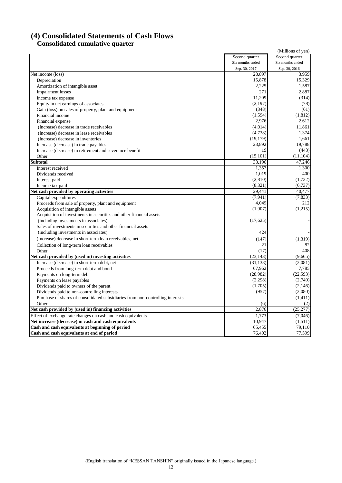# **(4) Consolidated Statements of Cash Flows Consolidated cumulative quarter**

| Second quarter<br>Second quarter<br>Six months ended<br>Six months ended<br>Sep. 30, 2017<br>Sep. 30, 2016<br>Net income (loss)<br>28,897<br>3,959<br>15,878<br>Depreciation<br>2,225<br>Amortization of intangible asset<br>1,587<br>271<br><b>Impairment</b> losses<br>11,209<br>Income tax expense<br>(2,197)<br>Equity in net earnings of associates<br>Gain (loss) on sales of property, plant and equipment<br>(348)<br>(61)<br>(1, 594)<br>Financial income<br>2.976<br>Financial expense<br>2.612<br>(4,014)<br>11,861<br>(Increase) decrease in trade receivables<br>(4,738)<br>1,374<br>(Increase) decrease in lease receivables<br>(Increase) decrease in inventories<br>(19, 179)<br>1,661<br>23,892<br>Increase (decrease) in trade payables<br>19<br>Increase (decrease) in retirement and severance benefit<br>(15, 101)<br>(11, 104)<br>Other<br><b>Subtotal</b><br>38,196<br>Interest received<br>1,357<br>1,019<br>Dividends received<br>(2,810)<br>(1,732)<br>Interest paid<br>(8,321)<br>(6,737)<br>Income tax paid<br>Net cash provided by operating activities<br>29.441<br>40.477<br>(7, 941)<br>Capital expenditures<br>Proceeds from sale of property, plant and equipment<br>4,049<br>(1,907)<br>Acquisition of intangible assets<br>Acquisition of investments in securities and other financial assets<br>(including investments in associates)<br>(17,625)<br>Sales of investments in securities and other financial assets<br>424<br>(including investments in associates)<br>(Increase) decrease in short-term loan receivables, net<br>(147)<br>(1,319)<br>82<br>21<br>Collection of long-term loan receivables<br>(17)<br>408<br>Other<br>(23, 143)<br>Net cash provided by (used in) investing activities<br>(9,665)<br>(31, 138)<br>(2,081)<br>Increase (decrease) in short-term debt, net<br>67,962<br>Proceeds from long-term debt and bond<br>7,785<br>(28,982)<br>(22, 593)<br>Payments on long-term debt<br>(2, 298)<br>Payments on lease payables<br>(1,705)<br>Dividends paid to owners of the parent<br>(957)<br>Dividends paid to non-controlling interests<br>Purchase of shares of consolidated subsidiaries from non-controlling interests<br>Other<br>(2)<br>(6)<br>Net cash provided by (used in) financing activities<br>2,876<br>(25, 277)<br>Effect of exchange rate changes on cash and cash equivalents<br>1,773<br>(7,046)<br>Net increase (decrease) in cash and cash equivalents<br>10.947<br>Cash and cash equivalents at beginning of period<br>65,455<br>79,110<br>76,402<br>77,599<br>Cash and cash equivalents at end of period |  | (Millions of yen) |
|-----------------------------------------------------------------------------------------------------------------------------------------------------------------------------------------------------------------------------------------------------------------------------------------------------------------------------------------------------------------------------------------------------------------------------------------------------------------------------------------------------------------------------------------------------------------------------------------------------------------------------------------------------------------------------------------------------------------------------------------------------------------------------------------------------------------------------------------------------------------------------------------------------------------------------------------------------------------------------------------------------------------------------------------------------------------------------------------------------------------------------------------------------------------------------------------------------------------------------------------------------------------------------------------------------------------------------------------------------------------------------------------------------------------------------------------------------------------------------------------------------------------------------------------------------------------------------------------------------------------------------------------------------------------------------------------------------------------------------------------------------------------------------------------------------------------------------------------------------------------------------------------------------------------------------------------------------------------------------------------------------------------------------------------------------------------------------------------------------------------------------------------------------------------------------------------------------------------------------------------------------------------------------------------------------------------------------------------------------------------------------------------------------------------------------------------------------------------------------------------------------------------------------------------------------------------------------------------------|--|-------------------|
|                                                                                                                                                                                                                                                                                                                                                                                                                                                                                                                                                                                                                                                                                                                                                                                                                                                                                                                                                                                                                                                                                                                                                                                                                                                                                                                                                                                                                                                                                                                                                                                                                                                                                                                                                                                                                                                                                                                                                                                                                                                                                                                                                                                                                                                                                                                                                                                                                                                                                                                                                                                               |  |                   |
|                                                                                                                                                                                                                                                                                                                                                                                                                                                                                                                                                                                                                                                                                                                                                                                                                                                                                                                                                                                                                                                                                                                                                                                                                                                                                                                                                                                                                                                                                                                                                                                                                                                                                                                                                                                                                                                                                                                                                                                                                                                                                                                                                                                                                                                                                                                                                                                                                                                                                                                                                                                               |  |                   |
|                                                                                                                                                                                                                                                                                                                                                                                                                                                                                                                                                                                                                                                                                                                                                                                                                                                                                                                                                                                                                                                                                                                                                                                                                                                                                                                                                                                                                                                                                                                                                                                                                                                                                                                                                                                                                                                                                                                                                                                                                                                                                                                                                                                                                                                                                                                                                                                                                                                                                                                                                                                               |  |                   |
|                                                                                                                                                                                                                                                                                                                                                                                                                                                                                                                                                                                                                                                                                                                                                                                                                                                                                                                                                                                                                                                                                                                                                                                                                                                                                                                                                                                                                                                                                                                                                                                                                                                                                                                                                                                                                                                                                                                                                                                                                                                                                                                                                                                                                                                                                                                                                                                                                                                                                                                                                                                               |  |                   |
|                                                                                                                                                                                                                                                                                                                                                                                                                                                                                                                                                                                                                                                                                                                                                                                                                                                                                                                                                                                                                                                                                                                                                                                                                                                                                                                                                                                                                                                                                                                                                                                                                                                                                                                                                                                                                                                                                                                                                                                                                                                                                                                                                                                                                                                                                                                                                                                                                                                                                                                                                                                               |  | 15,329            |
|                                                                                                                                                                                                                                                                                                                                                                                                                                                                                                                                                                                                                                                                                                                                                                                                                                                                                                                                                                                                                                                                                                                                                                                                                                                                                                                                                                                                                                                                                                                                                                                                                                                                                                                                                                                                                                                                                                                                                                                                                                                                                                                                                                                                                                                                                                                                                                                                                                                                                                                                                                                               |  |                   |
|                                                                                                                                                                                                                                                                                                                                                                                                                                                                                                                                                                                                                                                                                                                                                                                                                                                                                                                                                                                                                                                                                                                                                                                                                                                                                                                                                                                                                                                                                                                                                                                                                                                                                                                                                                                                                                                                                                                                                                                                                                                                                                                                                                                                                                                                                                                                                                                                                                                                                                                                                                                               |  | 2,887             |
|                                                                                                                                                                                                                                                                                                                                                                                                                                                                                                                                                                                                                                                                                                                                                                                                                                                                                                                                                                                                                                                                                                                                                                                                                                                                                                                                                                                                                                                                                                                                                                                                                                                                                                                                                                                                                                                                                                                                                                                                                                                                                                                                                                                                                                                                                                                                                                                                                                                                                                                                                                                               |  | (314)             |
|                                                                                                                                                                                                                                                                                                                                                                                                                                                                                                                                                                                                                                                                                                                                                                                                                                                                                                                                                                                                                                                                                                                                                                                                                                                                                                                                                                                                                                                                                                                                                                                                                                                                                                                                                                                                                                                                                                                                                                                                                                                                                                                                                                                                                                                                                                                                                                                                                                                                                                                                                                                               |  | (78)              |
|                                                                                                                                                                                                                                                                                                                                                                                                                                                                                                                                                                                                                                                                                                                                                                                                                                                                                                                                                                                                                                                                                                                                                                                                                                                                                                                                                                                                                                                                                                                                                                                                                                                                                                                                                                                                                                                                                                                                                                                                                                                                                                                                                                                                                                                                                                                                                                                                                                                                                                                                                                                               |  |                   |
|                                                                                                                                                                                                                                                                                                                                                                                                                                                                                                                                                                                                                                                                                                                                                                                                                                                                                                                                                                                                                                                                                                                                                                                                                                                                                                                                                                                                                                                                                                                                                                                                                                                                                                                                                                                                                                                                                                                                                                                                                                                                                                                                                                                                                                                                                                                                                                                                                                                                                                                                                                                               |  | (1, 812)          |
|                                                                                                                                                                                                                                                                                                                                                                                                                                                                                                                                                                                                                                                                                                                                                                                                                                                                                                                                                                                                                                                                                                                                                                                                                                                                                                                                                                                                                                                                                                                                                                                                                                                                                                                                                                                                                                                                                                                                                                                                                                                                                                                                                                                                                                                                                                                                                                                                                                                                                                                                                                                               |  |                   |
|                                                                                                                                                                                                                                                                                                                                                                                                                                                                                                                                                                                                                                                                                                                                                                                                                                                                                                                                                                                                                                                                                                                                                                                                                                                                                                                                                                                                                                                                                                                                                                                                                                                                                                                                                                                                                                                                                                                                                                                                                                                                                                                                                                                                                                                                                                                                                                                                                                                                                                                                                                                               |  |                   |
|                                                                                                                                                                                                                                                                                                                                                                                                                                                                                                                                                                                                                                                                                                                                                                                                                                                                                                                                                                                                                                                                                                                                                                                                                                                                                                                                                                                                                                                                                                                                                                                                                                                                                                                                                                                                                                                                                                                                                                                                                                                                                                                                                                                                                                                                                                                                                                                                                                                                                                                                                                                               |  |                   |
|                                                                                                                                                                                                                                                                                                                                                                                                                                                                                                                                                                                                                                                                                                                                                                                                                                                                                                                                                                                                                                                                                                                                                                                                                                                                                                                                                                                                                                                                                                                                                                                                                                                                                                                                                                                                                                                                                                                                                                                                                                                                                                                                                                                                                                                                                                                                                                                                                                                                                                                                                                                               |  |                   |
|                                                                                                                                                                                                                                                                                                                                                                                                                                                                                                                                                                                                                                                                                                                                                                                                                                                                                                                                                                                                                                                                                                                                                                                                                                                                                                                                                                                                                                                                                                                                                                                                                                                                                                                                                                                                                                                                                                                                                                                                                                                                                                                                                                                                                                                                                                                                                                                                                                                                                                                                                                                               |  | 19,788            |
|                                                                                                                                                                                                                                                                                                                                                                                                                                                                                                                                                                                                                                                                                                                                                                                                                                                                                                                                                                                                                                                                                                                                                                                                                                                                                                                                                                                                                                                                                                                                                                                                                                                                                                                                                                                                                                                                                                                                                                                                                                                                                                                                                                                                                                                                                                                                                                                                                                                                                                                                                                                               |  | (443)             |
|                                                                                                                                                                                                                                                                                                                                                                                                                                                                                                                                                                                                                                                                                                                                                                                                                                                                                                                                                                                                                                                                                                                                                                                                                                                                                                                                                                                                                                                                                                                                                                                                                                                                                                                                                                                                                                                                                                                                                                                                                                                                                                                                                                                                                                                                                                                                                                                                                                                                                                                                                                                               |  |                   |
|                                                                                                                                                                                                                                                                                                                                                                                                                                                                                                                                                                                                                                                                                                                                                                                                                                                                                                                                                                                                                                                                                                                                                                                                                                                                                                                                                                                                                                                                                                                                                                                                                                                                                                                                                                                                                                                                                                                                                                                                                                                                                                                                                                                                                                                                                                                                                                                                                                                                                                                                                                                               |  | 47,246            |
|                                                                                                                                                                                                                                                                                                                                                                                                                                                                                                                                                                                                                                                                                                                                                                                                                                                                                                                                                                                                                                                                                                                                                                                                                                                                                                                                                                                                                                                                                                                                                                                                                                                                                                                                                                                                                                                                                                                                                                                                                                                                                                                                                                                                                                                                                                                                                                                                                                                                                                                                                                                               |  | 1,300             |
|                                                                                                                                                                                                                                                                                                                                                                                                                                                                                                                                                                                                                                                                                                                                                                                                                                                                                                                                                                                                                                                                                                                                                                                                                                                                                                                                                                                                                                                                                                                                                                                                                                                                                                                                                                                                                                                                                                                                                                                                                                                                                                                                                                                                                                                                                                                                                                                                                                                                                                                                                                                               |  | 400               |
|                                                                                                                                                                                                                                                                                                                                                                                                                                                                                                                                                                                                                                                                                                                                                                                                                                                                                                                                                                                                                                                                                                                                                                                                                                                                                                                                                                                                                                                                                                                                                                                                                                                                                                                                                                                                                                                                                                                                                                                                                                                                                                                                                                                                                                                                                                                                                                                                                                                                                                                                                                                               |  |                   |
|                                                                                                                                                                                                                                                                                                                                                                                                                                                                                                                                                                                                                                                                                                                                                                                                                                                                                                                                                                                                                                                                                                                                                                                                                                                                                                                                                                                                                                                                                                                                                                                                                                                                                                                                                                                                                                                                                                                                                                                                                                                                                                                                                                                                                                                                                                                                                                                                                                                                                                                                                                                               |  |                   |
|                                                                                                                                                                                                                                                                                                                                                                                                                                                                                                                                                                                                                                                                                                                                                                                                                                                                                                                                                                                                                                                                                                                                                                                                                                                                                                                                                                                                                                                                                                                                                                                                                                                                                                                                                                                                                                                                                                                                                                                                                                                                                                                                                                                                                                                                                                                                                                                                                                                                                                                                                                                               |  |                   |
|                                                                                                                                                                                                                                                                                                                                                                                                                                                                                                                                                                                                                                                                                                                                                                                                                                                                                                                                                                                                                                                                                                                                                                                                                                                                                                                                                                                                                                                                                                                                                                                                                                                                                                                                                                                                                                                                                                                                                                                                                                                                                                                                                                                                                                                                                                                                                                                                                                                                                                                                                                                               |  | (7,833)           |
|                                                                                                                                                                                                                                                                                                                                                                                                                                                                                                                                                                                                                                                                                                                                                                                                                                                                                                                                                                                                                                                                                                                                                                                                                                                                                                                                                                                                                                                                                                                                                                                                                                                                                                                                                                                                                                                                                                                                                                                                                                                                                                                                                                                                                                                                                                                                                                                                                                                                                                                                                                                               |  | 212               |
|                                                                                                                                                                                                                                                                                                                                                                                                                                                                                                                                                                                                                                                                                                                                                                                                                                                                                                                                                                                                                                                                                                                                                                                                                                                                                                                                                                                                                                                                                                                                                                                                                                                                                                                                                                                                                                                                                                                                                                                                                                                                                                                                                                                                                                                                                                                                                                                                                                                                                                                                                                                               |  | (1,215)           |
|                                                                                                                                                                                                                                                                                                                                                                                                                                                                                                                                                                                                                                                                                                                                                                                                                                                                                                                                                                                                                                                                                                                                                                                                                                                                                                                                                                                                                                                                                                                                                                                                                                                                                                                                                                                                                                                                                                                                                                                                                                                                                                                                                                                                                                                                                                                                                                                                                                                                                                                                                                                               |  |                   |
|                                                                                                                                                                                                                                                                                                                                                                                                                                                                                                                                                                                                                                                                                                                                                                                                                                                                                                                                                                                                                                                                                                                                                                                                                                                                                                                                                                                                                                                                                                                                                                                                                                                                                                                                                                                                                                                                                                                                                                                                                                                                                                                                                                                                                                                                                                                                                                                                                                                                                                                                                                                               |  |                   |
|                                                                                                                                                                                                                                                                                                                                                                                                                                                                                                                                                                                                                                                                                                                                                                                                                                                                                                                                                                                                                                                                                                                                                                                                                                                                                                                                                                                                                                                                                                                                                                                                                                                                                                                                                                                                                                                                                                                                                                                                                                                                                                                                                                                                                                                                                                                                                                                                                                                                                                                                                                                               |  |                   |
|                                                                                                                                                                                                                                                                                                                                                                                                                                                                                                                                                                                                                                                                                                                                                                                                                                                                                                                                                                                                                                                                                                                                                                                                                                                                                                                                                                                                                                                                                                                                                                                                                                                                                                                                                                                                                                                                                                                                                                                                                                                                                                                                                                                                                                                                                                                                                                                                                                                                                                                                                                                               |  |                   |
|                                                                                                                                                                                                                                                                                                                                                                                                                                                                                                                                                                                                                                                                                                                                                                                                                                                                                                                                                                                                                                                                                                                                                                                                                                                                                                                                                                                                                                                                                                                                                                                                                                                                                                                                                                                                                                                                                                                                                                                                                                                                                                                                                                                                                                                                                                                                                                                                                                                                                                                                                                                               |  |                   |
|                                                                                                                                                                                                                                                                                                                                                                                                                                                                                                                                                                                                                                                                                                                                                                                                                                                                                                                                                                                                                                                                                                                                                                                                                                                                                                                                                                                                                                                                                                                                                                                                                                                                                                                                                                                                                                                                                                                                                                                                                                                                                                                                                                                                                                                                                                                                                                                                                                                                                                                                                                                               |  |                   |
|                                                                                                                                                                                                                                                                                                                                                                                                                                                                                                                                                                                                                                                                                                                                                                                                                                                                                                                                                                                                                                                                                                                                                                                                                                                                                                                                                                                                                                                                                                                                                                                                                                                                                                                                                                                                                                                                                                                                                                                                                                                                                                                                                                                                                                                                                                                                                                                                                                                                                                                                                                                               |  |                   |
|                                                                                                                                                                                                                                                                                                                                                                                                                                                                                                                                                                                                                                                                                                                                                                                                                                                                                                                                                                                                                                                                                                                                                                                                                                                                                                                                                                                                                                                                                                                                                                                                                                                                                                                                                                                                                                                                                                                                                                                                                                                                                                                                                                                                                                                                                                                                                                                                                                                                                                                                                                                               |  |                   |
|                                                                                                                                                                                                                                                                                                                                                                                                                                                                                                                                                                                                                                                                                                                                                                                                                                                                                                                                                                                                                                                                                                                                                                                                                                                                                                                                                                                                                                                                                                                                                                                                                                                                                                                                                                                                                                                                                                                                                                                                                                                                                                                                                                                                                                                                                                                                                                                                                                                                                                                                                                                               |  |                   |
|                                                                                                                                                                                                                                                                                                                                                                                                                                                                                                                                                                                                                                                                                                                                                                                                                                                                                                                                                                                                                                                                                                                                                                                                                                                                                                                                                                                                                                                                                                                                                                                                                                                                                                                                                                                                                                                                                                                                                                                                                                                                                                                                                                                                                                                                                                                                                                                                                                                                                                                                                                                               |  |                   |
|                                                                                                                                                                                                                                                                                                                                                                                                                                                                                                                                                                                                                                                                                                                                                                                                                                                                                                                                                                                                                                                                                                                                                                                                                                                                                                                                                                                                                                                                                                                                                                                                                                                                                                                                                                                                                                                                                                                                                                                                                                                                                                                                                                                                                                                                                                                                                                                                                                                                                                                                                                                               |  |                   |
|                                                                                                                                                                                                                                                                                                                                                                                                                                                                                                                                                                                                                                                                                                                                                                                                                                                                                                                                                                                                                                                                                                                                                                                                                                                                                                                                                                                                                                                                                                                                                                                                                                                                                                                                                                                                                                                                                                                                                                                                                                                                                                                                                                                                                                                                                                                                                                                                                                                                                                                                                                                               |  | (2,749)           |
|                                                                                                                                                                                                                                                                                                                                                                                                                                                                                                                                                                                                                                                                                                                                                                                                                                                                                                                                                                                                                                                                                                                                                                                                                                                                                                                                                                                                                                                                                                                                                                                                                                                                                                                                                                                                                                                                                                                                                                                                                                                                                                                                                                                                                                                                                                                                                                                                                                                                                                                                                                                               |  | (2,146)           |
|                                                                                                                                                                                                                                                                                                                                                                                                                                                                                                                                                                                                                                                                                                                                                                                                                                                                                                                                                                                                                                                                                                                                                                                                                                                                                                                                                                                                                                                                                                                                                                                                                                                                                                                                                                                                                                                                                                                                                                                                                                                                                                                                                                                                                                                                                                                                                                                                                                                                                                                                                                                               |  | (2,080)           |
|                                                                                                                                                                                                                                                                                                                                                                                                                                                                                                                                                                                                                                                                                                                                                                                                                                                                                                                                                                                                                                                                                                                                                                                                                                                                                                                                                                                                                                                                                                                                                                                                                                                                                                                                                                                                                                                                                                                                                                                                                                                                                                                                                                                                                                                                                                                                                                                                                                                                                                                                                                                               |  | (1,411)           |
|                                                                                                                                                                                                                                                                                                                                                                                                                                                                                                                                                                                                                                                                                                                                                                                                                                                                                                                                                                                                                                                                                                                                                                                                                                                                                                                                                                                                                                                                                                                                                                                                                                                                                                                                                                                                                                                                                                                                                                                                                                                                                                                                                                                                                                                                                                                                                                                                                                                                                                                                                                                               |  |                   |
|                                                                                                                                                                                                                                                                                                                                                                                                                                                                                                                                                                                                                                                                                                                                                                                                                                                                                                                                                                                                                                                                                                                                                                                                                                                                                                                                                                                                                                                                                                                                                                                                                                                                                                                                                                                                                                                                                                                                                                                                                                                                                                                                                                                                                                                                                                                                                                                                                                                                                                                                                                                               |  |                   |
|                                                                                                                                                                                                                                                                                                                                                                                                                                                                                                                                                                                                                                                                                                                                                                                                                                                                                                                                                                                                                                                                                                                                                                                                                                                                                                                                                                                                                                                                                                                                                                                                                                                                                                                                                                                                                                                                                                                                                                                                                                                                                                                                                                                                                                                                                                                                                                                                                                                                                                                                                                                               |  |                   |
|                                                                                                                                                                                                                                                                                                                                                                                                                                                                                                                                                                                                                                                                                                                                                                                                                                                                                                                                                                                                                                                                                                                                                                                                                                                                                                                                                                                                                                                                                                                                                                                                                                                                                                                                                                                                                                                                                                                                                                                                                                                                                                                                                                                                                                                                                                                                                                                                                                                                                                                                                                                               |  | (1,511)           |
|                                                                                                                                                                                                                                                                                                                                                                                                                                                                                                                                                                                                                                                                                                                                                                                                                                                                                                                                                                                                                                                                                                                                                                                                                                                                                                                                                                                                                                                                                                                                                                                                                                                                                                                                                                                                                                                                                                                                                                                                                                                                                                                                                                                                                                                                                                                                                                                                                                                                                                                                                                                               |  |                   |
|                                                                                                                                                                                                                                                                                                                                                                                                                                                                                                                                                                                                                                                                                                                                                                                                                                                                                                                                                                                                                                                                                                                                                                                                                                                                                                                                                                                                                                                                                                                                                                                                                                                                                                                                                                                                                                                                                                                                                                                                                                                                                                                                                                                                                                                                                                                                                                                                                                                                                                                                                                                               |  |                   |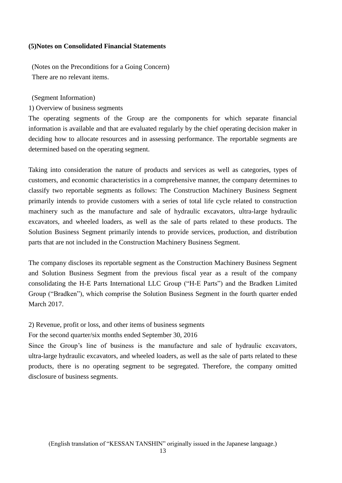### **(5)Notes on Consolidated Financial Statements**

(Notes on the Preconditions for a Going Concern) There are no relevant items.

(Segment Information)

1) Overview of business segments

The operating segments of the Group are the components for which separate financial information is available and that are evaluated regularly by the chief operating decision maker in deciding how to allocate resources and in assessing performance. The reportable segments are determined based on the operating segment.

Taking into consideration the nature of products and services as well as categories, types of customers, and economic characteristics in a comprehensive manner, the company determines to classify two reportable segments as follows: The Construction Machinery Business Segment primarily intends to provide customers with a series of total life cycle related to construction machinery such as the manufacture and sale of hydraulic excavators, ultra-large hydraulic excavators, and wheeled loaders, as well as the sale of parts related to these products. The Solution Business Segment primarily intends to provide services, production, and distribution parts that are not included in the Construction Machinery Business Segment.

The company discloses its reportable segment as the Construction Machinery Business Segment and Solution Business Segment from the previous fiscal year as a result of the company consolidating the H-E Parts International LLC Group ("H-E Parts") and the Bradken Limited Group ("Bradken"), which comprise the Solution Business Segment in the fourth quarter ended March 2017.

2) Revenue, profit or loss, and other items of business segments

For the second quarter/six months ended September 30, 2016

Since the Group's line of business is the manufacture and sale of hydraulic excavators, ultra-large hydraulic excavators, and wheeled loaders, as well as the sale of parts related to these products, there is no operating segment to be segregated. Therefore, the company omitted disclosure of business segments.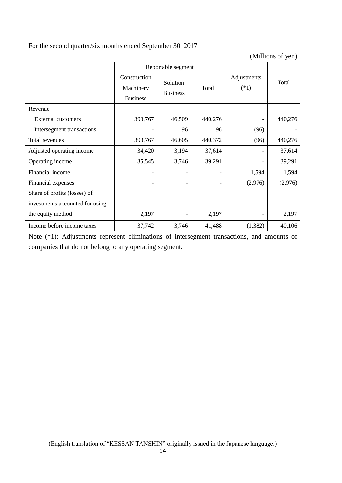# For the second quarter/six months ended September 30, 2017

(Millions of yen)

|                                 |                                              | Reportable segment          |         |                       |         |
|---------------------------------|----------------------------------------------|-----------------------------|---------|-----------------------|---------|
|                                 | Construction<br>Machinery<br><b>Business</b> | Solution<br><b>Business</b> | Total   | Adjustments<br>$(*1)$ | Total   |
| Revenue                         |                                              |                             |         |                       |         |
| External customers              | 393,767                                      | 46,509                      | 440,276 |                       | 440,276 |
| Intersegment transactions       |                                              | 96                          | 96      | (96)                  |         |
| Total revenues                  | 393,767                                      | 46,605                      | 440,372 | (96)                  | 440,276 |
| Adjusted operating income       | 34,420                                       | 3,194                       | 37,614  |                       | 37,614  |
| Operating income                | 35,545                                       | 3,746                       | 39,291  |                       | 39,291  |
| Financial income                |                                              |                             |         | 1,594                 | 1,594   |
| Financial expenses              |                                              |                             |         | (2,976)               | (2,976) |
| Share of profits (losses) of    |                                              |                             |         |                       |         |
| investments accounted for using |                                              |                             |         |                       |         |
| the equity method               | 2,197                                        |                             | 2,197   |                       | 2,197   |
| Income before income taxes      | 37,742                                       | 3,746                       | 41,488  | (1, 382)              | 40,106  |

Note (\*1): Adjustments represent eliminations of intersegment transactions, and amounts of companies that do not belong to any operating segment.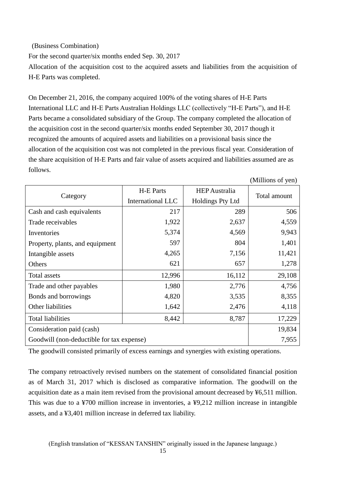## (Business Combination)

For the second quarter/six months ended Sep. 30, 2017

Allocation of the acquisition cost to the acquired assets and liabilities from the acquisition of H-E Parts was completed.

On December 21, 2016, the company acquired 100% of the voting shares of H-E Parts International LLC and H-E Parts Australian Holdings LLC (collectively "H-E Parts"), and H-E Parts became a consolidated subsidiary of the Group. The company completed the allocation of the acquisition cost in the second quarter/six months ended September 30, 2017 though it recognized the amounts of acquired assets and liabilities on a provisional basis since the allocation of the acquisition cost was not completed in the previous fiscal year. Consideration of the share acquisition of H-E Parts and fair value of assets acquired and liabilities assumed are as follows.

(Millions of yen)

|                                           | <b>H-E Parts</b>  | <b>HEP</b> Australia    |              |  |
|-------------------------------------------|-------------------|-------------------------|--------------|--|
| Category                                  | International LLC | <b>Holdings Pty Ltd</b> | Total amount |  |
| Cash and cash equivalents                 | 217               | 289                     | 506          |  |
| Trade receivables                         | 1,922             | 2,637                   | 4,559        |  |
| Inventories                               | 5,374             | 4,569                   | 9,943        |  |
| Property, plants, and equipment           | 597               | 804                     | 1,401        |  |
| Intangible assets                         | 4,265             | 7,156                   | 11,421       |  |
| Others                                    | 621               | 657                     | 1,278        |  |
| Total assets                              | 12,996            | 16,112                  | 29,108       |  |
| Trade and other payables                  | 1,980             | 2,776                   | 4,756        |  |
| Bonds and borrowings                      | 4,820             | 3,535                   | 8,355        |  |
| Other liabilities                         | 1,642             | 2,476                   | 4,118        |  |
| <b>Total liabilities</b>                  | 8,442             | 8,787                   | 17,229       |  |
| Consideration paid (cash)                 | 19,834            |                         |              |  |
| Goodwill (non-deductible for tax expense) | 7,955             |                         |              |  |

The goodwill consisted primarily of excess earnings and synergies with existing operations.

The company retroactively revised numbers on the statement of consolidated financial position as of March 31, 2017 which is disclosed as comparative information. The goodwill on the acquisition date as a main item revised from the provisional amount decreased by ¥6,511 million. This was due to a ¥700 million increase in inventories, a ¥9,212 million increase in intangible assets, and a ¥3,401 million increase in deferred tax liability.